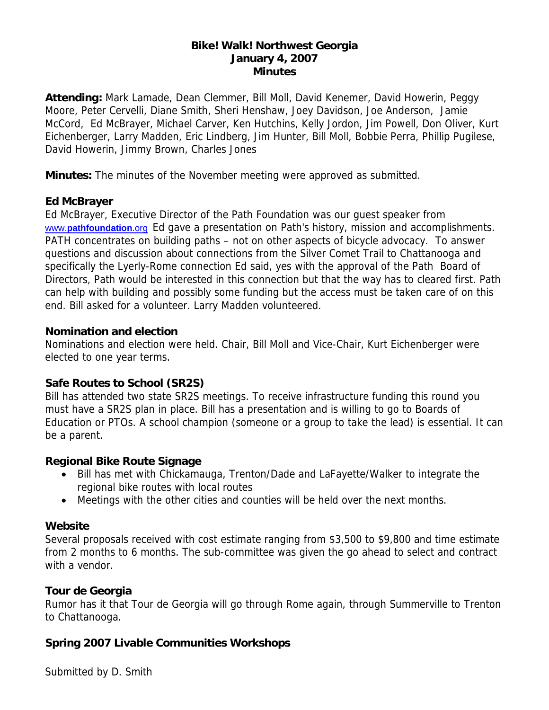#### **Bike! Walk! Northwest Georgia January 4, 2007 Minutes**

**Attending:** Mark Lamade, Dean Clemmer, Bill Moll, David Kenemer, David Howerin, Peggy Moore, Peter Cervelli, Diane Smith, Sheri Henshaw, Joey Davidson, Joe Anderson, Jamie McCord, Ed McBrayer, Michael Carver, Ken Hutchins, Kelly Jordon, Jim Powell, Don Oliver, Kurt Eichenberger, Larry Madden, Eric Lindberg, Jim Hunter, Bill Moll, Bobbie Perra, Phillip Pugilese, David Howerin, Jimmy Brown, Charles Jones

**Minutes:** The minutes of the November meeting were approved as submitted.

### **Ed McBrayer**

Ed McBrayer, Executive Director of the Path Foundation was our guest speaker from www.**pathfoundation**.org Ed gave a presentation on Path's history, mission and accomplishments. PATH concentrates on building paths – not on other aspects of bicycle advocacy. To answer questions and discussion about connections from the Silver Comet Trail to Chattanooga and specifically the Lyerly-Rome connection Ed said, yes with the approval of the Path Board of Directors, Path would be interested in this connection but that the way has to cleared first. Path can help with building and possibly some funding but the access must be taken care of on this end. Bill asked for a volunteer. Larry Madden volunteered.

### **Nomination and election**

Nominations and election were held. Chair, Bill Moll and Vice-Chair, Kurt Eichenberger were elected to one year terms.

# **Safe Routes to School (SR2S)**

Bill has attended two state SR2S meetings. To receive infrastructure funding this round you must have a SR2S plan in place. Bill has a presentation and is willing to go to Boards of Education or PTOs. A school champion (someone or a group to take the lead) is essential. It can be a parent.

### **Regional Bike Route Signage**

- Bill has met with Chickamauga, Trenton/Dade and LaFayette/Walker to integrate the regional bike routes with local routes
- Meetings with the other cities and counties will be held over the next months.

# **Website**

Several proposals received with cost estimate ranging from \$3,500 to \$9,800 and time estimate from 2 months to 6 months. The sub-committee was given the go ahead to select and contract with a vendor.

# **Tour de Georgia**

Rumor has it that Tour de Georgia will go through Rome again, through Summerville to Trenton to Chattanooga.

# **Spring 2007 Livable Communities Workshops**

Submitted by D. Smith